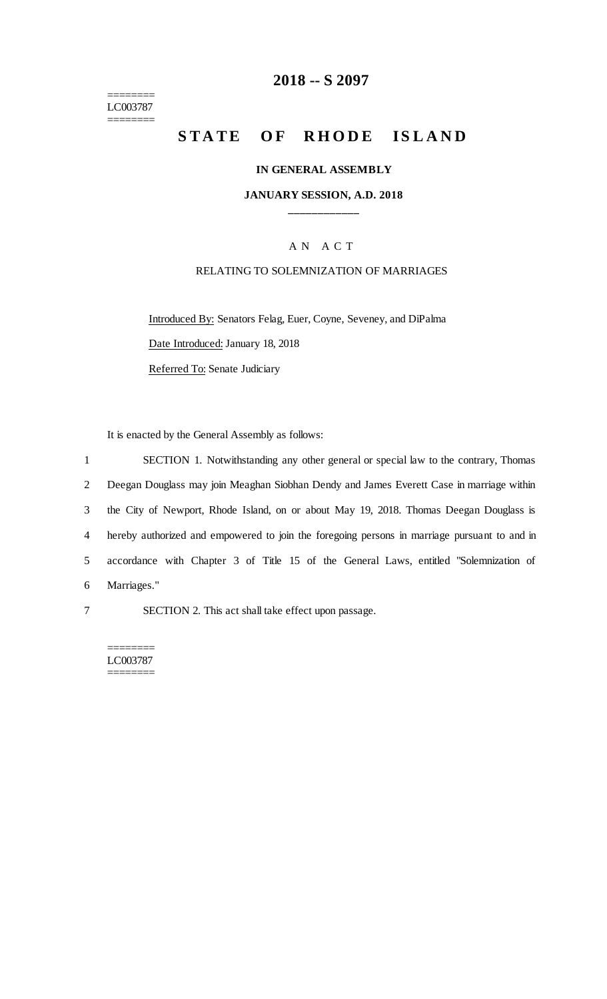======== LC003787 ========

## **2018 -- S 2097**

# STATE OF RHODE ISLAND

#### **IN GENERAL ASSEMBLY**

### **JANUARY SESSION, A.D. 2018 \_\_\_\_\_\_\_\_\_\_\_\_**

## A N A C T

### RELATING TO SOLEMNIZATION OF MARRIAGES

Introduced By: Senators Felag, Euer, Coyne, Seveney, and DiPalma Date Introduced: January 18, 2018 Referred To: Senate Judiciary

It is enacted by the General Assembly as follows:

 SECTION 1. Notwithstanding any other general or special law to the contrary, Thomas Deegan Douglass may join Meaghan Siobhan Dendy and James Everett Case in marriage within the City of Newport, Rhode Island, on or about May 19, 2018. Thomas Deegan Douglass is hereby authorized and empowered to join the foregoing persons in marriage pursuant to and in accordance with Chapter 3 of Title 15 of the General Laws, entitled "Solemnization of Marriages."

7 SECTION 2. This act shall take effect upon passage.

======== LC003787 ========